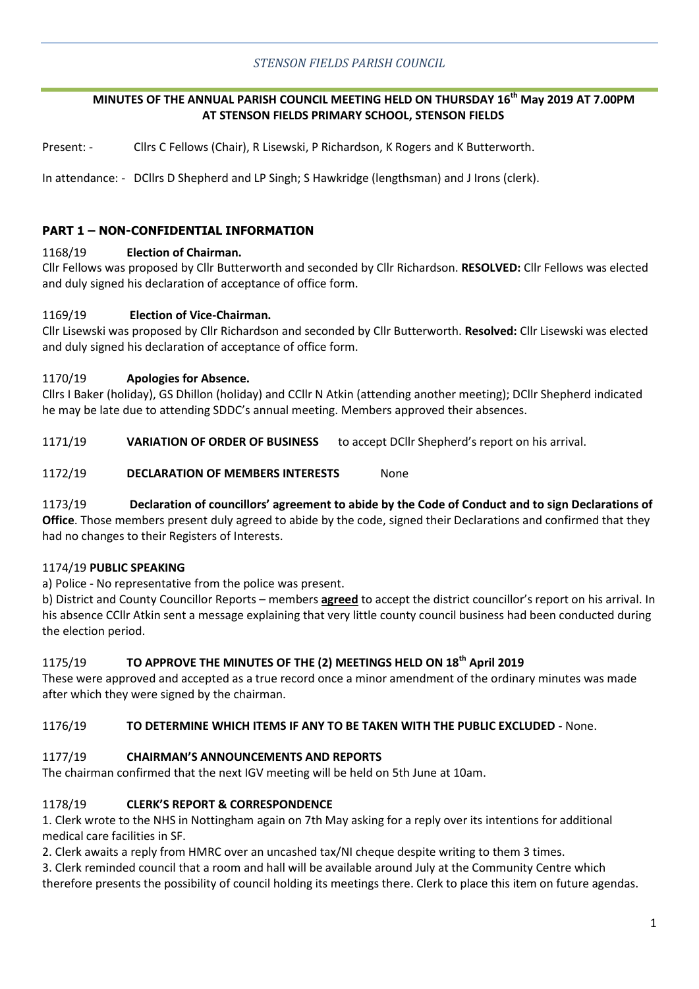# **MINUTES OF THE ANNUAL PARISH COUNCIL MEETING HELD ON THURSDAY 16th May 2019 AT 7.00PM AT STENSON FIELDS PRIMARY SCHOOL, STENSON FIELDS**

Present: - Cllrs C Fellows (Chair), R Lisewski, P Richardson, K Rogers and K Butterworth.

In attendance: - DCllrs D Shepherd and LP Singh; S Hawkridge (lengthsman) and J Irons (clerk).

# **PART 1 – NON-CONFIDENTIAL INFORMATION**

## 1168/19 **Election of Chairman.**

Cllr Fellows was proposed by Cllr Butterworth and seconded by Cllr Richardson. **RESOLVED:** Cllr Fellows was elected and duly signed his declaration of acceptance of office form.

## 1169/19 **Election of Vice-Chairman.**

Cllr Lisewski was proposed by Cllr Richardson and seconded by Cllr Butterworth. **Resolved:** Cllr Lisewski was elected and duly signed his declaration of acceptance of office form.

## 1170/19 **Apologies for Absence.**

Cllrs I Baker (holiday), GS Dhillon (holiday) and CCllr N Atkin (attending another meeting); DCllr Shepherd indicated he may be late due to attending SDDC's annual meeting. Members approved their absences.

1171/19 **VARIATION OF ORDER OF BUSINESS** to accept DCllr Shepherd's report on his arrival.

## 1172/19 **DECLARATION OF MEMBERS INTERESTS** None

# 1173/19 **Declaration of councillors' agreement to abide by the Code of Conduct and to sign Declarations of**

**Office**. Those members present duly agreed to abide by the code, signed their Declarations and confirmed that they had no changes to their Registers of Interests.

#### 1174/19 **PUBLIC SPEAKING**

a) Police - No representative from the police was present.

b) District and County Councillor Reports – members **agreed** to accept the district councillor's report on his arrival. In his absence CCllr Atkin sent a message explaining that very little county council business had been conducted during the election period.

# 1175/19 **TO APPROVE THE MINUTES OF THE (2) MEETINGS HELD ON 18th April 2019**

These were approved and accepted as a true record once a minor amendment of the ordinary minutes was made after which they were signed by the chairman.

#### 1176/19 **TO DETERMINE WHICH ITEMS IF ANY TO BE TAKEN WITH THE PUBLIC EXCLUDED -** None.

# 1177/19 **CHAIRMAN'S ANNOUNCEMENTS AND REPORTS**

The chairman confirmed that the next IGV meeting will be held on 5th June at 10am.

# 1178/19 **CLERK'S REPORT & CORRESPONDENCE**

1. Clerk wrote to the NHS in Nottingham again on 7th May asking for a reply over its intentions for additional medical care facilities in SF.

2. Clerk awaits a reply from HMRC over an uncashed tax/NI cheque despite writing to them 3 times.

3. Clerk reminded council that a room and hall will be available around July at the Community Centre which therefore presents the possibility of council holding its meetings there. Clerk to place this item on future agendas.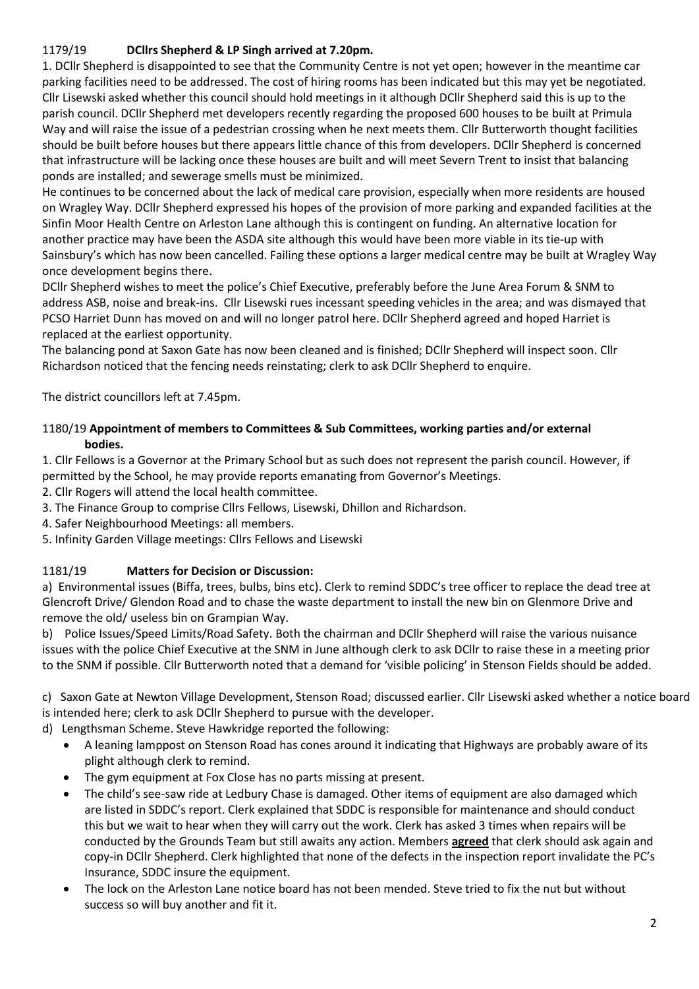# 1179/19 **DCllrs Shepherd & LP Singh arrived at 7.20pm.**

1. DCllr Shepherd is disappointed to see that the Community Centre is not yet open; however in the meantime car parking facilities need to be addressed. The cost of hiring rooms has been indicated but this may yet be negotiated. Cllr Lisewski asked whether this council should hold meetings in it although DCllr Shepherd said this is up to the parish council. DCllr Shepherd met developers recently regarding the proposed 600 houses to be built at Primula Way and will raise the issue of a pedestrian crossing when he next meets them. Cllr Butterworth thought facilities should be built before houses but there appears little chance of this from developers. DCllr Shepherd is concerned that infrastructure will be lacking once these houses are built and will meet Severn Trent to insist that balancing ponds are installed; and sewerage smells must be minimized.

He continues to be concerned about the lack of medical care provision, especially when more residents are housed on Wragley Way. DCllr Shepherd expressed his hopes of the provision of more parking and expanded facilities at the Sinfin Moor Health Centre on Arleston Lane although this is contingent on funding. An alternative location for another practice may have been the ASDA site although this would have been more viable in its tie-up with Sainsbury's which has now been cancelled. Failing these options a larger medical centre may be built at Wragley Way once development begins there.

DCllr Shepherd wishes to meet the police's Chief Executive, preferably before the June Area Forum & SNM to address ASB, noise and break-ins. Cllr Lisewski rues incessant speeding vehicles in the area; and was dismayed that PCSO Harriet Dunn has moved on and will no longer patrol here. DCllr Shepherd agreed and hoped Harriet is replaced at the earliest opportunity.

The balancing pond at Saxon Gate has now been cleaned and is finished; DCllr Shepherd will inspect soon. Cllr Richardson noticed that the fencing needs reinstating; clerk to ask DCllr Shepherd to enquire.

The district councillors left at 7.45pm.

# 1180/19 **Appointment of members to Committees & Sub Committees, working parties and/or external bodies.**

1. Cllr Fellows is a Governor at the Primary School but as such does not represent the parish council. However, if permitted by the School, he may provide reports emanating from Governor's Meetings.

2. Cllr Rogers will attend the local health committee.

- 3. The Finance Group to comprise Cllrs Fellows, Lisewski, Dhillon and Richardson.
- 4. Safer Neighbourhood Meetings: all members.
- 5. Infinity Garden Village meetings: Cllrs Fellows and Lisewski

#### 1181/19 **Matters for Decision or Discussion:**

a) Environmental issues (Biffa, trees, bulbs, bins etc). Clerk to remind SDDC's tree officer to replace the dead tree at Glencroft Drive/ Glendon Road and to chase the waste department to install the new bin on Glenmore Drive and remove the old/ useless bin on Grampian Way.

b) Police Issues/Speed Limits/Road Safety. Both the chairman and DCllr Shepherd will raise the various nuisance issues with the police Chief Executive at the SNM in June although clerk to ask DCllr to raise these in a meeting prior to the SNM if possible. Cllr Butterworth noted that a demand for 'visible policing' in Stenson Fields should be added.

c) Saxon Gate at Newton Village Development, Stenson Road; discussed earlier. Cllr Lisewski asked whether a notice board is intended here; clerk to ask DCllr Shepherd to pursue with the developer.

d) Lengthsman Scheme. Steve Hawkridge reported the following:

- A leaning lamppost on Stenson Road has cones around it indicating that Highways are probably aware of its plight although clerk to remind.
- The gym equipment at Fox Close has no parts missing at present.
- The child's see-saw ride at Ledbury Chase is damaged. Other items of equipment are also damaged which are listed in SDDC's report. Clerk explained that SDDC is responsible for maintenance and should conduct this but we wait to hear when they will carry out the work. Clerk has asked 3 times when repairs will be conducted by the Grounds Team but still awaits any action. Members **agreed** that clerk should ask again and copy-in DCllr Shepherd. Clerk highlighted that none of the defects in the inspection report invalidate the PC's Insurance, SDDC insure the equipment.
- The lock on the Arleston Lane notice board has not been mended. Steve tried to fix the nut but without success so will buy another and fit it.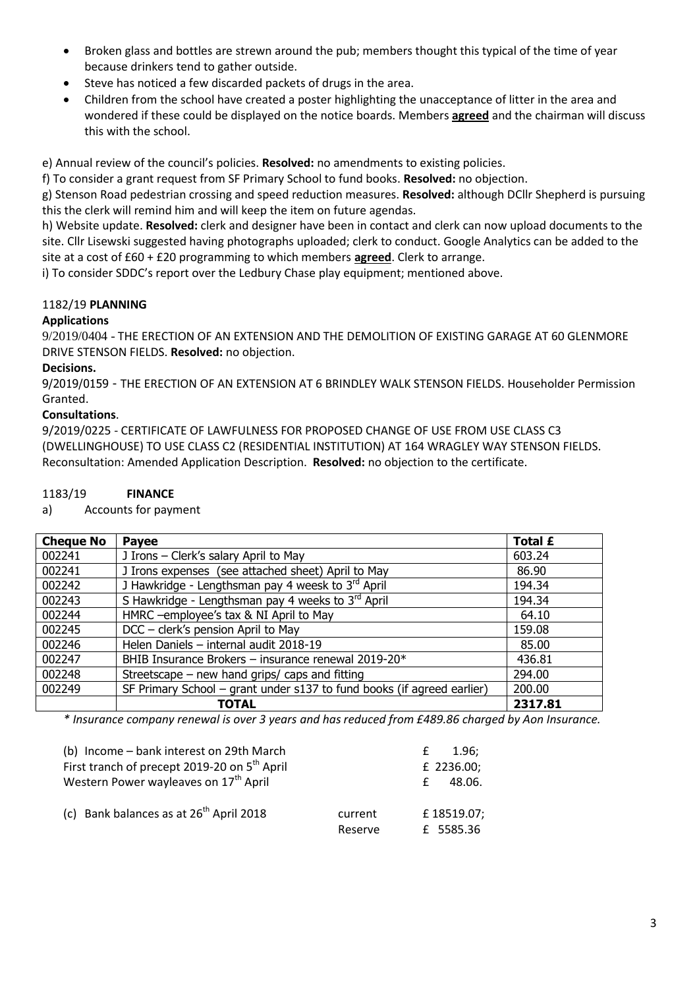- Broken glass and bottles are strewn around the pub; members thought this typical of the time of year because drinkers tend to gather outside.
- Steve has noticed a few discarded packets of drugs in the area.
- Children from the school have created a poster highlighting the unacceptance of litter in the area and wondered if these could be displayed on the notice boards. Members **agreed** and the chairman will discuss this with the school.

e) Annual review of the council's policies. **Resolved:** no amendments to existing policies.

f) To consider a grant request from SF Primary School to fund books. **Resolved:** no objection.

g) Stenson Road pedestrian crossing and speed reduction measures. **Resolved:** although DCllr Shepherd is pursuing this the clerk will remind him and will keep the item on future agendas.

h) Website update. **Resolved:** clerk and designer have been in contact and clerk can now upload documents to the site. Cllr Lisewski suggested having photographs uploaded; clerk to conduct. Google Analytics can be added to the site at a cost of £60 + £20 programming to which members **agreed**. Clerk to arrange.

i) To consider SDDC's report over the Ledbury Chase play equipment; mentioned above.

# 1182/19 **PLANNING**

# **Applications**

9/2019/0404 - THE ERECTION OF AN EXTENSION AND THE DEMOLITION OF EXISTING GARAGE AT 60 GLENMORE DRIVE STENSON FIELDS. **Resolved:** no objection.

# **Decisions.**

9/2019/0159 - THE ERECTION OF AN EXTENSION AT 6 BRINDLEY WALK STENSON FIELDS. Householder Permission Granted.

# **Consultations**.

9/2019/0225 - CERTIFICATE OF LAWFULNESS FOR PROPOSED CHANGE OF USE FROM USE CLASS C3 (DWELLINGHOUSE) TO USE CLASS C2 (RESIDENTIAL INSTITUTION) AT 164 WRAGLEY WAY STENSON FIELDS. Reconsultation: Amended Application Description. **Resolved:** no objection to the certificate.

a) Accounts for payment

| <b>Cheque No</b> | Payee                                                                  | <b>Total £</b> |
|------------------|------------------------------------------------------------------------|----------------|
| 002241           | J Irons - Clerk's salary April to May                                  | 603.24         |
| 002241           | J Irons expenses (see attached sheet) April to May                     | 86.90          |
| 002242           | J Hawkridge - Lengthsman pay 4 weesk to 3rd April                      | 194.34         |
| 002243           | S Hawkridge - Lengthsman pay 4 weeks to 3rd April                      | 194.34         |
| 002244           | HMRC -employee's tax & NI April to May                                 | 64.10          |
| 002245           | DCC - clerk's pension April to May                                     | 159.08         |
| 002246           | Helen Daniels - internal audit 2018-19                                 | 85.00          |
| 002247           | BHIB Insurance Brokers - insurance renewal 2019-20*                    | 436.81         |
| 002248           | Streetscape – new hand grips/ caps and fitting                         | 294.00         |
| 002249           | SF Primary School - grant under s137 to fund books (if agreed earlier) | 200,00         |
|                  | <b>TOTAL</b>                                                           | 2317.81        |

*\* Insurance company renewal is over 3 years and has reduced from £489.86 charged by Aon Insurance.*

| (b) Income - bank interest on 29th March<br>First tranch of precept 2019-20 on 5 <sup>th</sup> April<br>Western Power wayleaves on 17 <sup>th</sup> April | 1.96:<br>£<br>£ 2236.00;<br>48.06. |                         |
|-----------------------------------------------------------------------------------------------------------------------------------------------------------|------------------------------------|-------------------------|
| (c) Bank balances as at $26^{th}$ April 2018                                                                                                              | current<br>Reserve                 | £18519.07;<br>£ 5585.36 |